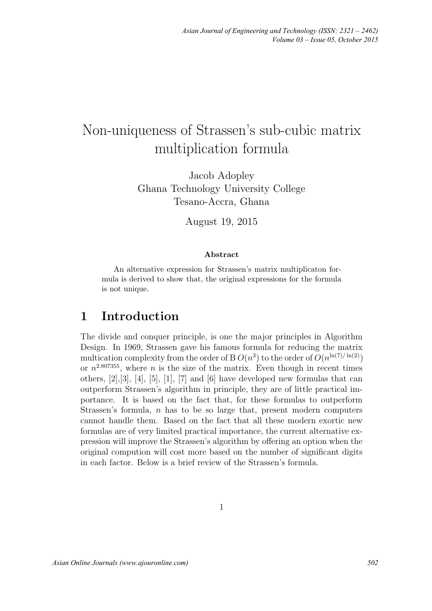# Non-uniqueness of Strassen's sub-cubic matrix multiplication formula

Jacob Adopley Ghana Technology University College Tesano-Accra, Ghana

August 19, 2015

#### Abstract

An alternative expression for Strassen's matrix multiplicaton formula is derived to show that, the original expressions for the formula is not unique.

#### 1 Introduction

The divide and conquer principle, is one the major principles in Algorithm Design. In 1969, Strassen gave his famous formula for reducing the matrix multication complexity from the order of B  $O(n^3)$  to the order of  $O(n^{\ln(7)/\ln(2)})$ or  $n^{2.807355}$ , where *n* is the size of the matrix. Even though in recent times others, [2],[3], [4], [5], [1], [7] and [6] have developed new formulas that can outperform Strassen's algorithm in principle, they are of little practical importance. It is based on the fact that, for these formulas to outperform Strassen's formula,  $n$  has to be so large that, present modern computers cannot handle them. Based on the fact that all these modern exortic new formulas are of very limited practical importance, the current alternative expression will improve the Strassen's algorithm by offering an option when the original compution will cost more based on the number of significant digits in each factor. Below is a brief review of the Strassen's formula.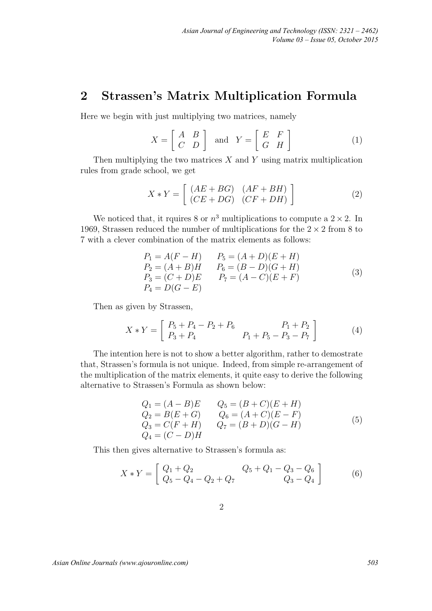### 2 Strassen's Matrix Multiplication Formula

Here we begin with just multiplying two matrices, namely

$$
X = \left[ \begin{array}{cc} A & B \\ C & D \end{array} \right] \quad \text{and} \quad Y = \left[ \begin{array}{cc} E & F \\ G & H \end{array} \right] \tag{1}
$$

Then multiplying the two matrices  $X$  and  $Y$  using matrix multiplication rules from grade school, we get

$$
X * Y = \left[ \begin{array}{cc} (AE + BG) & (AF + BH) \\ (CE + DG) & (CF + DH) \end{array} \right]
$$
 (2)

We noticed that, it rquires 8 or  $n^3$  multiplications to compute a  $2 \times 2$ . In 1969, Strassen reduced the number of multiplications for the  $2 \times 2$  from 8 to 7 with a clever combination of the matrix elements as follows:

$$
P_1 = A(F - H) \t P_5 = (A + D)(E + H) \n P_2 = (A + B)H \t P_6 = (B - D)(G + H) \n P_3 = (C + D)E \t P_7 = (A - C)(E + F) \n P_4 = D(G - E)
$$
\n(3)

Then as given by Strassen,

$$
X * Y = \begin{bmatrix} P_5 + P_4 - P_2 + P_6 & P_1 + P_2 \\ P_3 + P_4 & P_1 + P_5 - P_3 - P_7 \end{bmatrix}
$$
 (4)

The intention here is not to show a better algorithm, rather to demostrate that, Strassen's formula is not unique. Indeed, from simple re-arrangement of the multiplication of the matrix elements, it quite easy to derive the following alternative to Strassen's Formula as shown below:

$$
Q_1 = (A - B)E
$$
  
\n
$$
Q_2 = B(E + G)
$$
  
\n
$$
Q_3 = C(F + H)
$$
  
\n
$$
Q_4 = (C - D)H
$$
  
\n
$$
Q_5 = (B + C)(E + H)
$$
  
\n
$$
Q_6 = (A + C)(E - F)
$$
  
\n
$$
Q_7 = (B + D)(G - H)
$$
  
\n(5)

This then gives alternative to Strassen's formula as:

$$
X * Y = \begin{bmatrix} Q_1 + Q_2 & Q_5 + Q_1 - Q_3 - Q_6 \ Q_5 - Q_4 - Q_2 + Q_7 & Q_3 - Q_4 \end{bmatrix}
$$
 (6)